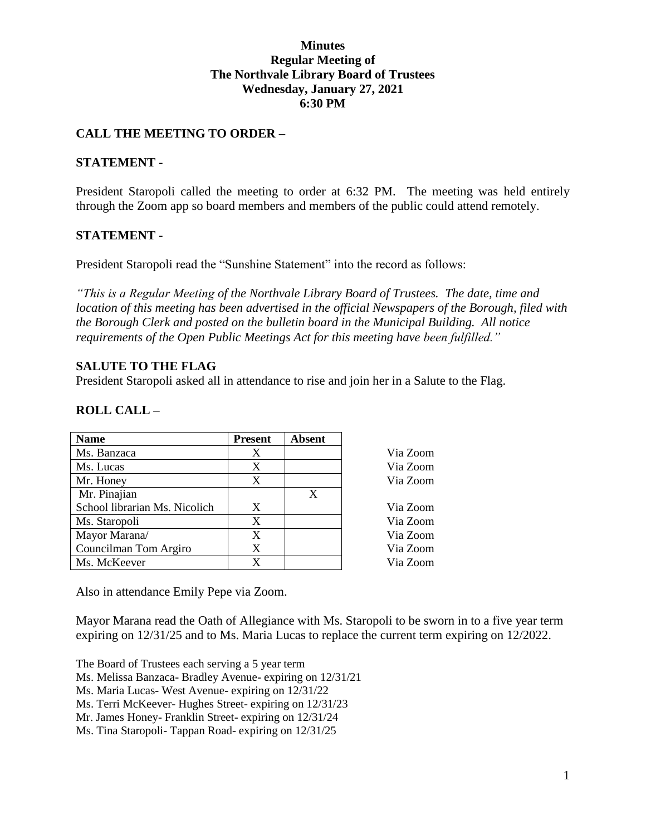## **Minutes Regular Meeting of The Northvale Library Board of Trustees Wednesday, January 27, 2021 6:30 PM**

# **CALL THE MEETING TO ORDER –**

## **STATEMENT -**

President Staropoli called the meeting to order at 6:32 PM. The meeting was held entirely through the Zoom app so board members and members of the public could attend remotely.

## **STATEMENT -**

President Staropoli read the "Sunshine Statement" into the record as follows:

*"This is a Regular Meeting of the Northvale Library Board of Trustees. The date, time and location of this meeting has been advertised in the official Newspapers of the Borough, filed with the Borough Clerk and posted on the bulletin board in the Municipal Building. All notice requirements of the Open Public Meetings Act for this meeting have been fulfilled."* 

## **SALUTE TO THE FLAG**

President Staropoli asked all in attendance to rise and join her in a Salute to the Flag.

## **ROLL CALL –**

| <b>Name</b>                   | <b>Present</b> | <b>Absent</b> |          |
|-------------------------------|----------------|---------------|----------|
| Ms. Banzaca                   | Χ              |               | Via Zoom |
| Ms. Lucas                     | X              |               | Via Zoom |
| Mr. Honey                     | X              |               | Via Zoom |
| Mr. Pinajian                  |                | X             |          |
| School librarian Ms. Nicolich | X              |               | Via Zoom |
| Ms. Staropoli                 | X              |               | Via Zoom |
| Mayor Marana/                 | X              |               | Via Zoom |
| Councilman Tom Argiro         | X              |               | Via Zoom |
| Ms. McKeever                  | X              |               | Via Zoom |

Also in attendance Emily Pepe via Zoom.

Mayor Marana read the Oath of Allegiance with Ms. Staropoli to be sworn in to a five year term expiring on 12/31/25 and to Ms. Maria Lucas to replace the current term expiring on 12/2022.

The Board of Trustees each serving a 5 year term

Ms. Melissa Banzaca- Bradley Avenue- expiring on 12/31/21

Ms. Maria Lucas- West Avenue- expiring on 12/31/22

Ms. Terri McKeever- Hughes Street- expiring on 12/31/23

Mr. James Honey- Franklin Street- expiring on 12/31/24

Ms. Tina Staropoli- Tappan Road- expiring on 12/31/25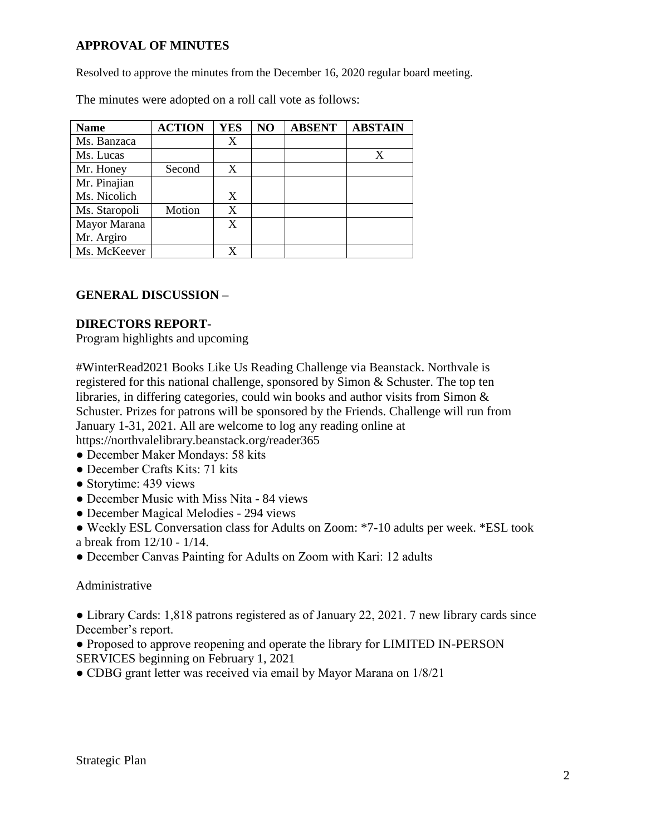# **APPROVAL OF MINUTES**

Resolved to approve the minutes from the December 16, 2020 regular board meeting.

The minutes were adopted on a roll call vote as follows:

| <b>Name</b>   | <b>ACTION</b> | <b>YES</b> | NO | <b>ABSENT</b> | <b>ABSTAIN</b> |
|---------------|---------------|------------|----|---------------|----------------|
| Ms. Banzaca   |               | X          |    |               |                |
| Ms. Lucas     |               |            |    |               | X              |
| Mr. Honey     | Second        | X          |    |               |                |
| Mr. Pinajian  |               |            |    |               |                |
| Ms. Nicolich  |               | X          |    |               |                |
| Ms. Staropoli | Motion        | X          |    |               |                |
| Mayor Marana  |               | X          |    |               |                |
| Mr. Argiro    |               |            |    |               |                |
| Ms. McKeever  |               | X          |    |               |                |

## **GENERAL DISCUSSION –**

#### **DIRECTORS REPORT-**

Program highlights and upcoming

#WinterRead2021 Books Like Us Reading Challenge via Beanstack. Northvale is registered for this national challenge, sponsored by Simon & Schuster. The top ten libraries, in differing categories, could win books and author visits from Simon & Schuster. Prizes for patrons will be sponsored by the Friends. Challenge will run from January 1-31, 2021. All are welcome to log any reading online at https://northvalelibrary.beanstack.org/reader365

- December Maker Mondays: 58 kits
- December Crafts Kits: 71 kits
- Storytime: 439 views
- December Music with Miss Nita 84 views
- December Magical Melodies 294 views
- Weekly ESL Conversation class for Adults on Zoom: \*7-10 adults per week. \*ESL took a break from 12/10 - 1/14.
- December Canvas Painting for Adults on Zoom with Kari: 12 adults

## Administrative

● Library Cards: 1,818 patrons registered as of January 22, 2021. 7 new library cards since December's report.

- Proposed to approve reopening and operate the library for LIMITED IN-PERSON SERVICES beginning on February 1, 2021
- CDBG grant letter was received via email by Mayor Marana on 1/8/21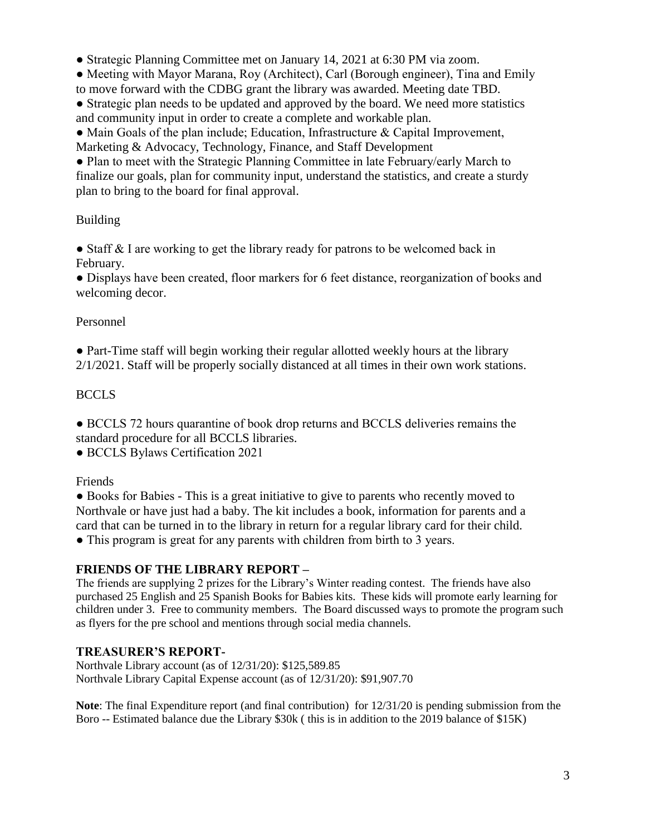● Strategic Planning Committee met on January 14, 2021 at 6:30 PM via zoom.

● Meeting with Mayor Marana, Roy (Architect), Carl (Borough engineer), Tina and Emily to move forward with the CDBG grant the library was awarded. Meeting date TBD.

• Strategic plan needs to be updated and approved by the board. We need more statistics and community input in order to create a complete and workable plan.

● Main Goals of the plan include; Education, Infrastructure & Capital Improvement,

Marketing & Advocacy, Technology, Finance, and Staff Development

• Plan to meet with the Strategic Planning Committee in late February/early March to finalize our goals, plan for community input, understand the statistics, and create a sturdy plan to bring to the board for final approval.

# Building

• Staff & I are working to get the library ready for patrons to be welcomed back in February.

● Displays have been created, floor markers for 6 feet distance, reorganization of books and welcoming decor.

# Personnel

● Part-Time staff will begin working their regular allotted weekly hours at the library 2/1/2021. Staff will be properly socially distanced at all times in their own work stations.

# **BCCLS**

● BCCLS 72 hours quarantine of book drop returns and BCCLS deliveries remains the standard procedure for all BCCLS libraries.

● BCCLS Bylaws Certification 2021

Friends

● Books for Babies - This is a great initiative to give to parents who recently moved to Northvale or have just had a baby. The kit includes a book, information for parents and a card that can be turned in to the library in return for a regular library card for their child. • This program is great for any parents with children from birth to 3 years.

# **FRIENDS OF THE LIBRARY REPORT –**

The friends are supplying 2 prizes for the Library's Winter reading contest. The friends have also purchased 25 English and 25 Spanish Books for Babies kits. These kids will promote early learning for children under 3. Free to community members. The Board discussed ways to promote the program such as flyers for the pre school and mentions through social media channels.

# **TREASURER'S REPORT-**

Northvale Library account (as of 12/31/20): \$125,589.85 Northvale Library Capital Expense account (as of 12/31/20): \$91,907.70

**Note**: The final Expenditure report (and final contribution) for 12/31/20 is pending submission from the Boro -- Estimated balance due the Library \$30k ( this is in addition to the 2019 balance of \$15K)